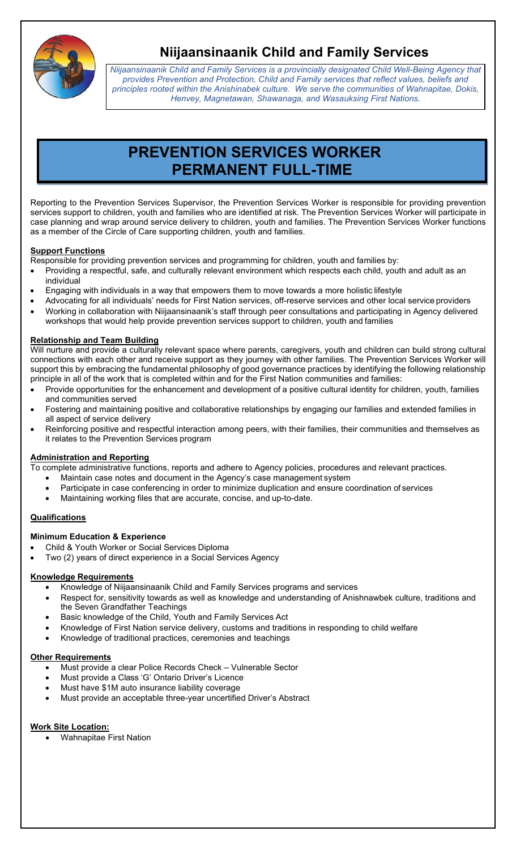

## **Niijaansinaanik Child and Family Services**

*Niijaansinaanik Child and Family Services is a provincially designated Child Well-Being Agency that provides Prevention and Protection, Child and Family services that reflect values, beliefs and principles rooted within the Anishinabek culture. We serve the communities of Wahnapitae, Dokis, Henvey, Magnetawan, Shawanaga, and Wasauksing First Nations.*

# **PREVENTION SERVICES WORKER PERMANENT FULL-TIME**

Reporting to the Prevention Services Supervisor, the Prevention Services Worker is responsible for providing prevention services support to children, youth and families who are identified at risk. The Prevention Services Worker will participate in case planning and wrap around service delivery to children, youth and families. The Prevention Services Worker functions as a member of the Circle of Care supporting children, youth and families.

#### **Support Functions**

Responsible for providing prevention services and programming for children, youth and families by:

- Providing a respectful, safe, and culturally relevant environment which respects each child, youth and adult as an individual
- Engaging with individuals in a way that empowers them to move towards a more holistic lifestyle
- Advocating for all individuals' needs for First Nation services, off-reserve services and other local service providers
- Working in collaboration with Niijaansinaanik's staff through peer consultations and participating in Agency delivered workshops that would help provide prevention services support to children, youth and families

### **Relationship and Team Building**

Will nurture and provide a culturally relevant space where parents, caregivers, youth and children can build strong cultural connections with each other and receive support as they journey with other families. The Prevention Services Worker will support this by embracing the fundamental philosophy of good governance practices by identifying the following relationship principle in all of the work that is completed within and for the First Nation communities and families:

- Provide opportunities for the enhancement and development of a positive cultural identity for children, youth, families and communities served
- Fostering and maintaining positive and collaborative relationships by engaging our families and extended families in all aspect of service delivery
- Reinforcing positive and respectful interaction among peers, with their families, their communities and themselves as it relates to the Prevention Services program

#### **Administration and Reporting**

To complete administrative functions, reports and adhere to Agency policies, procedures and relevant practices.

- Maintain case notes and document in the Agency's case management system
- Participate in case conferencing in order to minimize duplication and ensure coordination of services
- Maintaining working files that are accurate, concise, and up-to-date.

### **Qualifications**

### **Minimum Education & Experience**

- Child & Youth Worker or Social Services Diploma
- Two (2) years of direct experience in a Social Services Agency

### **Knowledge Requirements**

- Knowledge of Niijaansinaanik Child and Family Services programs and services
- Respect for, sensitivity towards as well as knowledge and understanding of Anishnawbek culture, traditions and the Seven Grandfather Teachings
- Basic knowledge of the Child, Youth and Family Services Act
- Knowledge of First Nation service delivery, customs and traditions in responding to child welfare
- Knowledge of traditional practices, ceremonies and teachings

#### **Other Requirements**

- Must provide a clear Police Records Check Vulnerable Sector
- Must provide a Class 'G' Ontario Driver's Licence
- Must have \$1M auto insurance liability coverage
- Must provide an acceptable three-year uncertified Driver's Abstract

### **Work Site Location:**

• Wahnapitae First Nation